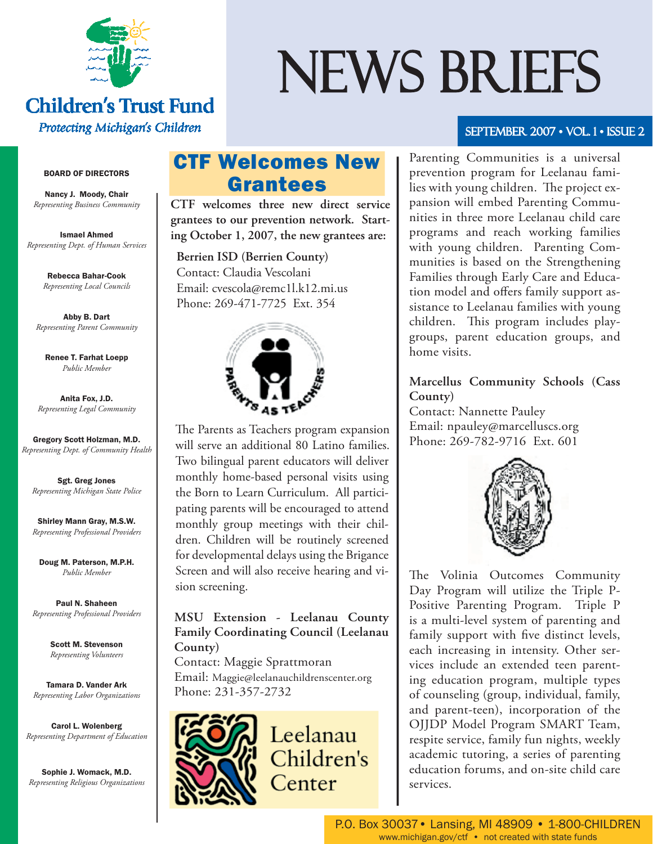

#### **Children's Trust Fund** Protecting Michigan's Children

#### BOARD OF DIRECTORS

Nancy J. Moody, Chair *Representing Business Community*

Ismael Ahmed *Representing Dept. of Human Services*

> Rebecca Bahar-Cook *Representing Local Councils*

Abby B. Dart *Representing Parent Community*

Renee T. Farhat Loepp *Public Member*

Anita Fox, J.D. *Representing Legal Community*

Gregory Scott Holzman, M.D. *Representing Dept. of Community Health*

Sgt. Greg Jones *Representing Michigan State Police*

Shirley Mann Gray, M.S.W. *Representing Professional Providers*

Doug M. Paterson, M.P.H. *Public Member*

Paul N. Shaheen *Representing Professional Providers*

> Scott M. Stevenson *Representing Volunteers*

Tamara D. Vander Ark *Representing Labor Organizations*

Carol L. Wolenberg *Representing Department of Education*

Sophie J. Womack, M.D. *Representing Religious Organizations*

# CTF Welcomes New Grantees

**CTF welcomes three new direct service grantees to our prevention network. Starting October 1, 2007, the new grantees are:**

 **Berrien ISD (Berrien County)** Contact: Claudia Vescolani Email: cvescola@remc1l.k12.mi.us Phone: 269-471-7725 Ext. 354



The Parents as Teachers program expansion will serve an additional 80 Latino families. Two bilingual parent educators will deliver monthly home-based personal visits using the Born to Learn Curriculum. All participating parents will be encouraged to attend monthly group meetings with their children. Children will be routinely screened for developmental delays using the Brigance Screen and will also receive hearing and vision screening.

#### **MSU Extension - Leelanau County Family Coordinating Council (Leelanau County)**

Contact: Maggie Sprattmoran Email: Maggie@leelanauchildrenscenter.org Phone: 231-357-2732



Leelanau Children's Center

# NEWS BRIEFS

#### SEPTEMBER 2007 • VOL. 1 • ISSUE 2

Parenting Communities is a universal prevention program for Leelanau families with young children. The project expansion will embed Parenting Communities in three more Leelanau child care programs and reach working families with young children. Parenting Communities is based on the Strengthening Families through Early Care and Education model and offers family support assistance to Leelanau families with young children. This program includes playgroups, parent education groups, and home visits.

#### **Marcellus Community Schools (Cass County)**

Contact: Nannette Pauley Email: npauley@marcelluscs.org Phone: 269-782-9716 Ext. 601



The Volinia Outcomes Community Day Program will utilize the Triple P-Positive Parenting Program. Triple P is a multi-level system of parenting and family support with five distinct levels, each increasing in intensity. Other services include an extended teen parenting education program, multiple types of counseling (group, individual, family, and parent-teen), incorporation of the OJJDP Model Program SMART Team, respite service, family fun nights, weekly academic tutoring, a series of parenting education forums, and on-site child care services.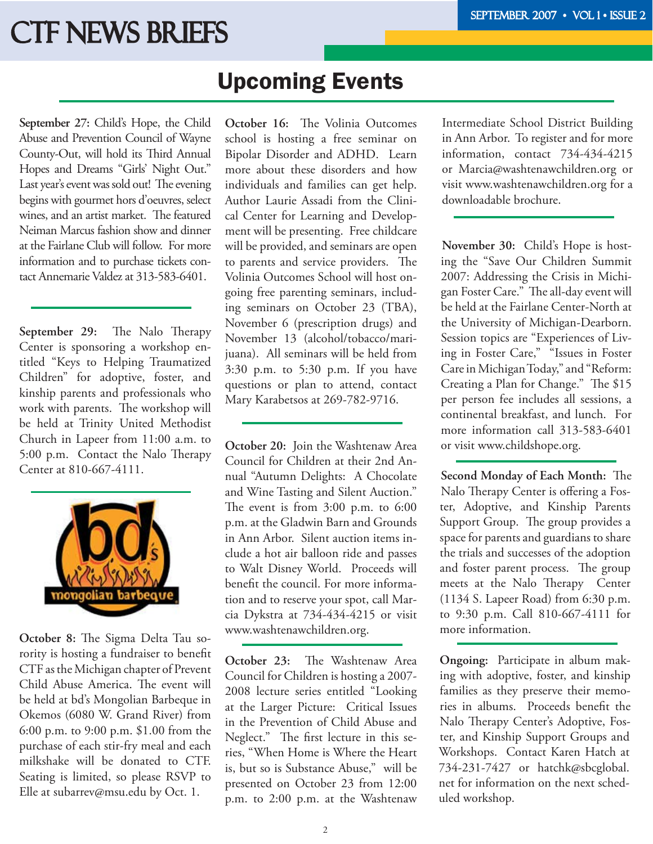# **CTF NEWS BRIEFS**

# Upcoming Events

**September 27:** Child's Hope, the Child Abuse and Prevention Council of Wayne County-Out, will hold its Third Annual Hopes and Dreams "Girls' Night Out." Last year's event was sold out! The evening begins with gourmet hors d'oeuvres, select wines, and an artist market. The featured Neiman Marcus fashion show and dinner at the Fairlane Club will follow. For more information and to purchase tickets contact Annemarie Valdez at 313-583-6401.

**September 29:** The Nalo Therapy Center is sponsoring a workshop entitled "Keys to Helping Traumatized Children" for adoptive, foster, and kinship parents and professionals who work with parents. The workshop will be held at Trinity United Methodist Church in Lapeer from 11:00 a.m. to 5:00 p.m. Contact the Nalo Therapy Center at 810-667-4111.



October 8: The Sigma Delta Tau sorority is hosting a fundraiser to benefit CTF as the Michigan chapter of Prevent Child Abuse America. The event will be held at bd's Mongolian Barbeque in Okemos (6080 W. Grand River) from 6:00 p.m. to 9:00 p.m. \$1.00 from the purchase of each stir-fry meal and each milkshake will be donated to CTF. Seating is limited, so please RSVP to Elle at subarrev@msu.edu by Oct. 1.

**October 16:** The Volinia Outcomes school is hosting a free seminar on Bipolar Disorder and ADHD. Learn more about these disorders and how individuals and families can get help. Author Laurie Assadi from the Clinical Center for Learning and Development will be presenting. Free childcare will be provided, and seminars are open to parents and service providers. The Volinia Outcomes School will host ongoing free parenting seminars, including seminars on October 23 (TBA), November 6 (prescription drugs) and November 13 (alcohol/tobacco/marijuana). All seminars will be held from 3:30 p.m. to 5:30 p.m. If you have questions or plan to attend, contact Mary Karabetsos at 269-782-9716.

**October 20:** Join the Washtenaw Area Council for Children at their 2nd Annual "Autumn Delights: A Chocolate and Wine Tasting and Silent Auction." The event is from  $3:00$  p.m. to  $6:00$ p.m. at the Gladwin Barn and Grounds in Ann Arbor. Silent auction items include a hot air balloon ride and passes to Walt Disney World. Proceeds will benefit the council. For more information and to reserve your spot, call Marcia Dykstra at 734-434-4215 or visit www.washtenawchildren.org.

**October 23:** The Washtenaw Area Council for Children is hosting a 2007- 2008 lecture series entitled "Looking at the Larger Picture: Critical Issues in the Prevention of Child Abuse and Neglect." The first lecture in this series, "When Home is Where the Heart is, but so is Substance Abuse," will be presented on October 23 from 12:00 p.m. to 2:00 p.m. at the Washtenaw

Intermediate School District Building in Ann Arbor. To register and for more information, contact 734-434-4215 or Marcia@washtenawchildren.org or visit www.washtenawchildren.org for a downloadable brochure.

**November 30:** Child's Hope is hosting the "Save Our Children Summit 2007: Addressing the Crisis in Michigan Foster Care." The all-day event will be held at the Fairlane Center-North at the University of Michigan-Dearborn. Session topics are "Experiences of Living in Foster Care," "Issues in Foster Care in Michigan Today," and "Reform: Creating a Plan for Change." The \$15 per person fee includes all sessions, a continental breakfast, and lunch. For more information call 313-583-6401 or visit www.childshope.org.

**Second Monday of Each Month:** The Nalo Therapy Center is offering a Foster, Adoptive, and Kinship Parents Support Group. The group provides a space for parents and guardians to share the trials and successes of the adoption and foster parent process. The group meets at the Nalo Therapy Center (1134 S. Lapeer Road) from 6:30 p.m. to 9:30 p.m. Call 810-667-4111 for more information.

**Ongoing:** Participate in album making with adoptive, foster, and kinship families as they preserve their memories in albums. Proceeds benefit the Nalo Therapy Center's Adoptive, Foster, and Kinship Support Groups and Workshops. Contact Karen Hatch at 734-231-7427 or hatchk@sbcglobal. net for information on the next scheduled workshop.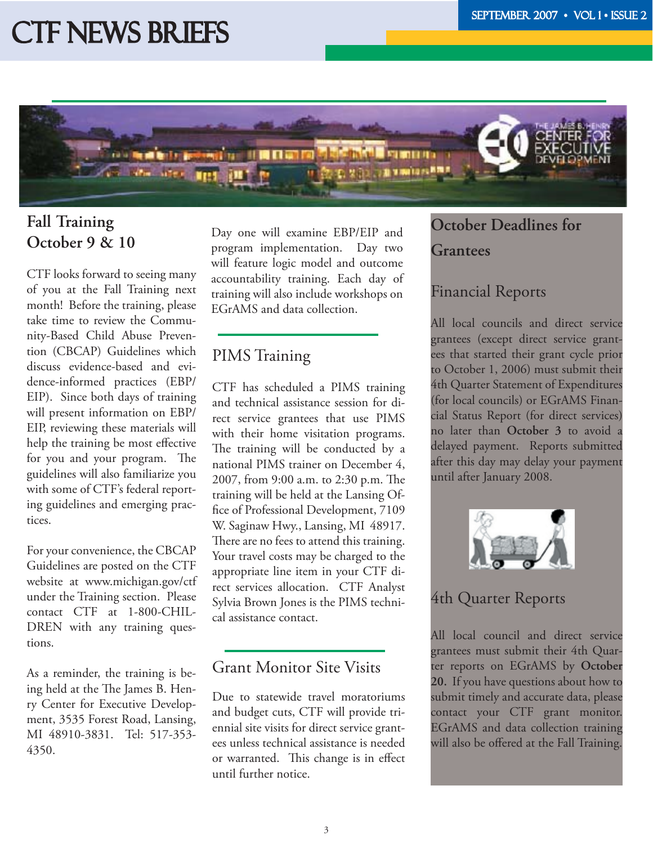# **CTF NEWS BRIEFS**



# **Fall Training October 9 & 10**

CTF looks forward to seeing many of you at the Fall Training next month! Before the training, please take time to review the Community-Based Child Abuse Prevention (CBCAP) Guidelines which discuss evidence-based and evidence-informed practices (EBP/ EIP). Since both days of training will present information on EBP/ EIP, reviewing these materials will help the training be most effective for you and your program. The guidelines will also familiarize you with some of CTF's federal reporting guidelines and emerging practices.

For your convenience, the CBCAP Guidelines are posted on the CTF website at www.michigan.gov/ctf under the Training section. Please contact CTF at 1-800-CHIL-DREN with any training questions.

As a reminder, the training is being held at the The James B. Henry Center for Executive Development, 3535 Forest Road, Lansing, MI 48910-3831. Tel: 517-353- 4350.

Day one will examine EBP/EIP and program implementation. Day two will feature logic model and outcome accountability training. Each day of training will also include workshops on EGrAMS and data collection.

#### PIMS Training

CTF has scheduled a PIMS training and technical assistance session for direct service grantees that use PIMS with their home visitation programs. The training will be conducted by a national PIMS trainer on December 4, 2007, from 9:00 a.m. to 2:30 p.m. The training will be held at the Lansing Office of Professional Development, 7109 W. Saginaw Hwy., Lansing, MI 48917. There are no fees to attend this training. Your travel costs may be charged to the appropriate line item in your CTF direct services allocation. CTF Analyst Sylvia Brown Jones is the PIMS technical assistance contact.

#### Grant Monitor Site Visits

Due to statewide travel moratoriums and budget cuts, CTF will provide triennial site visits for direct service grantees unless technical assistance is needed or warranted. This change is in effect until further notice.

# **October Deadlines for Grantees**

## Financial Reports

All local councils and direct service grantees (except direct service grantees that started their grant cycle prior to October 1, 2006) must submit their 4th Quarter Statement of Expenditures (for local councils) or EGrAMS Financial Status Report (for direct services) no later than **October 3** to avoid a delayed payment. Reports submitted after this day may delay your payment until after January 2008.



## 4th Quarter Reports

All local council and direct service grantees must submit their 4th Quarter reports on EGrAMS by **October 20.** If you have questions about how to submit timely and accurate data, please contact your CTF grant monitor. EGrAMS and data collection training will also be offered at the Fall Training.